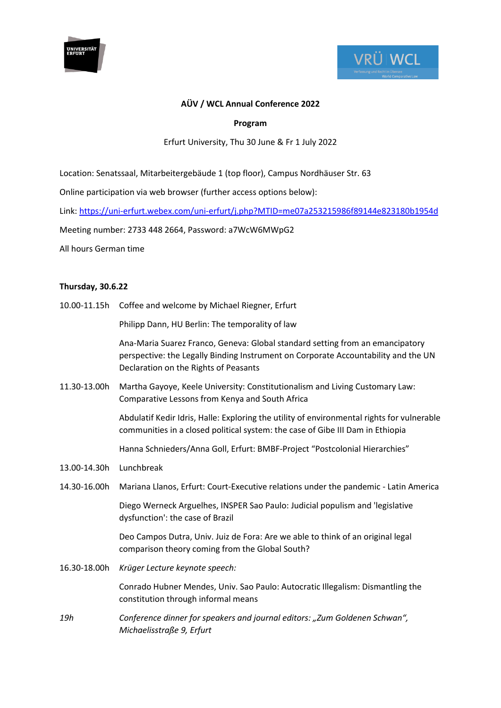



# **AÜV / WCL Annual Conference 2022**

# **Program**

### Erfurt University, Thu 30 June & Fr 1 July 2022

Location: Senatssaal, Mitarbeitergebäude 1 (top floor), Campus Nordhäuser Str. 63

Online participation via web browser (further access options below):

Link:<https://uni-erfurt.webex.com/uni-erfurt/j.php?MTID=me07a253215986f89144e823180b1954d>

Meeting number: 2733 448 2664, Password: a7WcW6MWpG2

All hours German time

### **Thursday, 30.6.22**

10.00-11.15h Coffee and welcome by Michael Riegner, Erfurt

Philipp Dann, HU Berlin: The temporality of law

Ana-Maria Suarez Franco, Geneva: Global standard setting from an emancipatory perspective: the Legally Binding Instrument on Corporate Accountability and the UN Declaration on the Rights of Peasants

11.30-13.00h Martha Gayoye, Keele University: Constitutionalism and Living Customary Law: Comparative Lessons from Kenya and South Africa

> Abdulatif Kedir Idris, Halle: Exploring the utility of environmental rights for vulnerable communities in a closed political system: the case of Gibe III Dam in Ethiopia

Hanna Schnieders/Anna Goll, Erfurt: BMBF-Project "Postcolonial Hierarchies"

- 13.00-14.30h Lunchbreak
- 14.30-16.00h Mariana Llanos, Erfurt: Court-Executive relations under the pandemic Latin America

Diego Werneck Arguelhes, INSPER Sao Paulo: Judicial populism and 'legislative dysfunction': the case of Brazil

Deo Campos Dutra, Univ. Juiz de Fora: Are we able to think of an original legal comparison theory coming from the Global South?

16.30-18.00h *Krüger Lecture keynote speech:*

Conrado Hubner Mendes, Univ. Sao Paulo: Autocratic Illegalism: Dismantling the constitution through informal means

*19h Conference dinner for speakers and journal editors: "Zum Goldenen Schwan", Michaelisstraße 9, Erfurt*